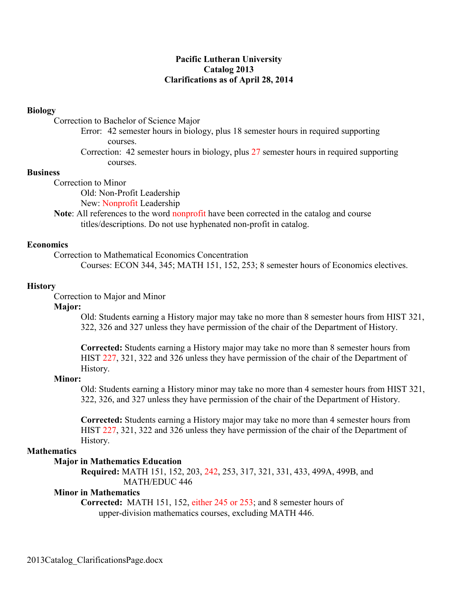# **Pacific Lutheran University Catalog 2013 Clarifications as of April 28, 2014**

## **Biology**

Correction to Bachelor of Science Major

- Error: 42 semester hours in biology, plus 18 semester hours in required supporting courses.
- Correction: 42 semester hours in biology, plus 27 semester hours in required supporting courses.

## **Business**

Correction to Minor

Old: Non-Profit Leadership

New: Nonprofit Leadership

**Note**: All references to the word nonprofit have been corrected in the catalog and course titles/descriptions. Do not use hyphenated non-profit in catalog.

## **Economics**

Correction to Mathematical Economics Concentration

Courses: ECON 344, 345; MATH 151, 152, 253; 8 semester hours of Economics electives.

#### **History**

Correction to Major and Minor

## **Major:**

Old: Students earning a History major may take no more than 8 semester hours from HIST 321, 322, 326 and 327 unless they have permission of the chair of the Department of History.

**Corrected:** Students earning a History major may take no more than 8 semester hours from HIST 227, 321, 322 and 326 unless they have permission of the chair of the Department of History.

#### **Minor:**

Old: Students earning a History minor may take no more than 4 semester hours from HIST 321, 322, 326, and 327 unless they have permission of the chair of the Department of History.

**Corrected:** Students earning a History major may take no more than 4 semester hours from HIST 227, 321, 322 and 326 unless they have permission of the chair of the Department of History.

#### **Mathematics**

## **Major in Mathematics Education**

**Required:** MATH 151, 152, 203, 242, 253, 317, 321, 331, 433, 499A, 499B, and MATH/EDUC 446

## **Minor in Mathematics**

**Corrected:** MATH 151, 152, either 245 or 253; and 8 semester hours of upper-division mathematics courses, excluding MATH 446.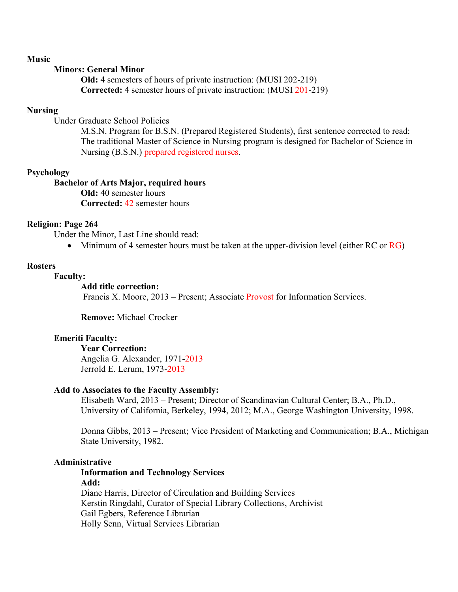## **Music**

## **Minors: General Minor**

**Old:** 4 semesters of hours of private instruction: (MUSI 202-219) **Corrected:** 4 semester hours of private instruction: (MUSI 201-219)

## **Nursing**

Under Graduate School Policies

M.S.N. Program for B.S.N. (Prepared Registered Students), first sentence corrected to read: The traditional Master of Science in Nursing program is designed for Bachelor of Science in Nursing (B.S.N.) prepared registered nurses.

## **Psychology**

#### **Bachelor of Arts Major, required hours Old:** 40 semester hours **Corrected:** 42 semester hours

## **Religion: Page 264**

Under the Minor, Last Line should read:

• Minimum of 4 semester hours must be taken at the upper-division level (either RC or  $\overline{RG}$ )

#### **Rosters**

## **Faculty:**

## **Add title correction:**

Francis X. Moore, 2013 – Present; Associate Provost for Information Services.

**Remove:** Michael Crocker

## **Emeriti Faculty:**

#### **Year Correction:**

Angelia G. Alexander, 1971-2013 Jerrold E. Lerum, 1973-2013

## **Add to Associates to the Faculty Assembly:**

Elisabeth Ward, 2013 – Present; Director of Scandinavian Cultural Center; B.A., Ph.D., University of California, Berkeley, 1994, 2012; M.A., George Washington University, 1998.

Donna Gibbs, 2013 – Present; Vice President of Marketing and Communication; B.A., Michigan State University, 1982.

## **Administrative**

**Information and Technology Services Add:** Diane Harris, Director of Circulation and Building Services Kerstin Ringdahl, Curator of Special Library Collections, Archivist Gail Egbers, Reference Librarian Holly Senn, Virtual Services Librarian